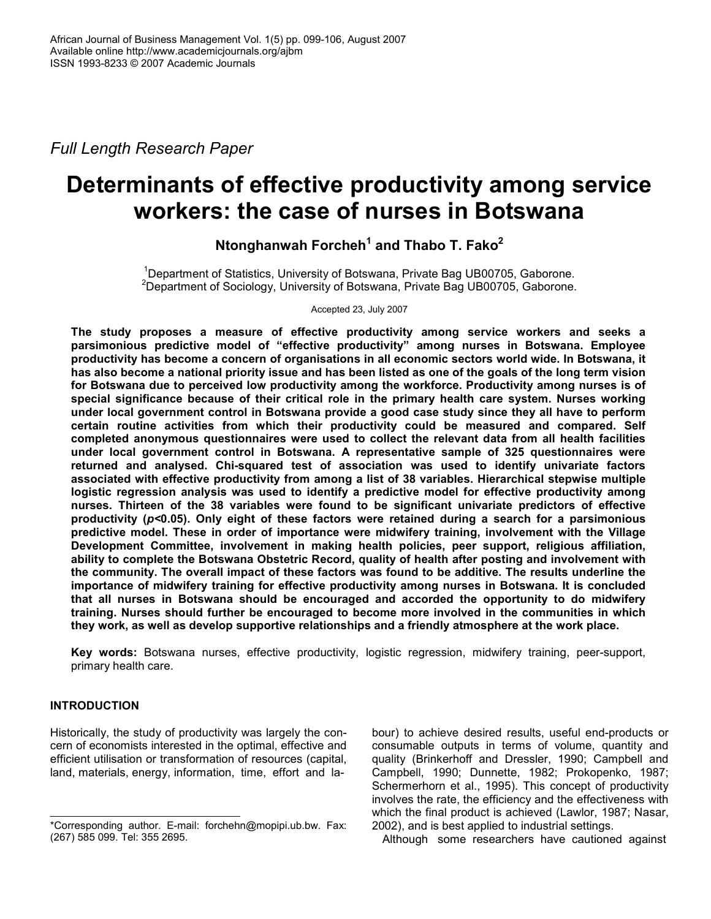Full Length Research Paper

# Determinants of effective productivity among service workers: the case of nurses in Botswana

Ntonghanwah Forcheh<sup>1</sup> and Thabo T. Fako<sup>2</sup>

<sup>1</sup>Department of Statistics, University of Botswana, Private Bag UB00705, Gaborone. <sup>2</sup>Department of Sociology, University of Botswana, Private Bag UB00705, Gaborone.

Accepted 23, July 2007

The study proposes a measure of effective productivity among service workers and seeks a parsimonious predictive model of "effective productivity" among nurses in Botswana. Employee productivity has become a concern of organisations in all economic sectors world wide. In Botswana, it has also become a national priority issue and has been listed as one of the goals of the long term vision for Botswana due to perceived low productivity among the workforce. Productivity among nurses is of special significance because of their critical role in the primary health care system. Nurses working under local government control in Botswana provide a good case study since they all have to perform certain routine activities from which their productivity could be measured and compared. Self completed anonymous questionnaires were used to collect the relevant data from all health facilities under local government control in Botswana. A representative sample of 325 questionnaires were returned and analysed. Chi-squared test of association was used to identify univariate factors associated with effective productivity from among a list of 38 variables. Hierarchical stepwise multiple logistic regression analysis was used to identify a predictive model for effective productivity among nurses. Thirteen of the 38 variables were found to be significant univariate predictors of effective productivity (p<0.05). Only eight of these factors were retained during a search for a parsimonious predictive model. These in order of importance were midwifery training, involvement with the Village Development Committee, involvement in making health policies, peer support, religious affiliation, ability to complete the Botswana Obstetric Record, quality of health after posting and involvement with the community. The overall impact of these factors was found to be additive. The results underline the importance of midwifery training for effective productivity among nurses in Botswana. It is concluded that all nurses in Botswana should be encouraged and accorded the opportunity to do midwifery training. Nurses should further be encouraged to become more involved in the communities in which they work, as well as develop supportive relationships and a friendly atmosphere at the work place.

Key words: Botswana nurses, effective productivity, logistic regression, midwifery training, peer-support, primary health care.

# INTRODUCTION

Historically, the study of productivity was largely the concern of economists interested in the optimal, effective and efficient utilisation or transformation of resources (capital, land, materials, energy, information, time, effort and labour) to achieve desired results, useful end-products or consumable outputs in terms of volume, quantity and quality (Brinkerhoff and Dressler, 1990; Campbell and Campbell, 1990; Dunnette, 1982; Prokopenko, 1987; Schermerhorn et al., 1995). This concept of productivity involves the rate, the efficiency and the effectiveness with which the final product is achieved (Lawlor, 1987; Nasar, 2002), and is best applied to industrial settings.

Although some researchers have cautioned against

<sup>\*</sup>Corresponding author. E-mail: forchehn@mopipi.ub.bw. Fax: (267) 585 099. Tel: 355 2695.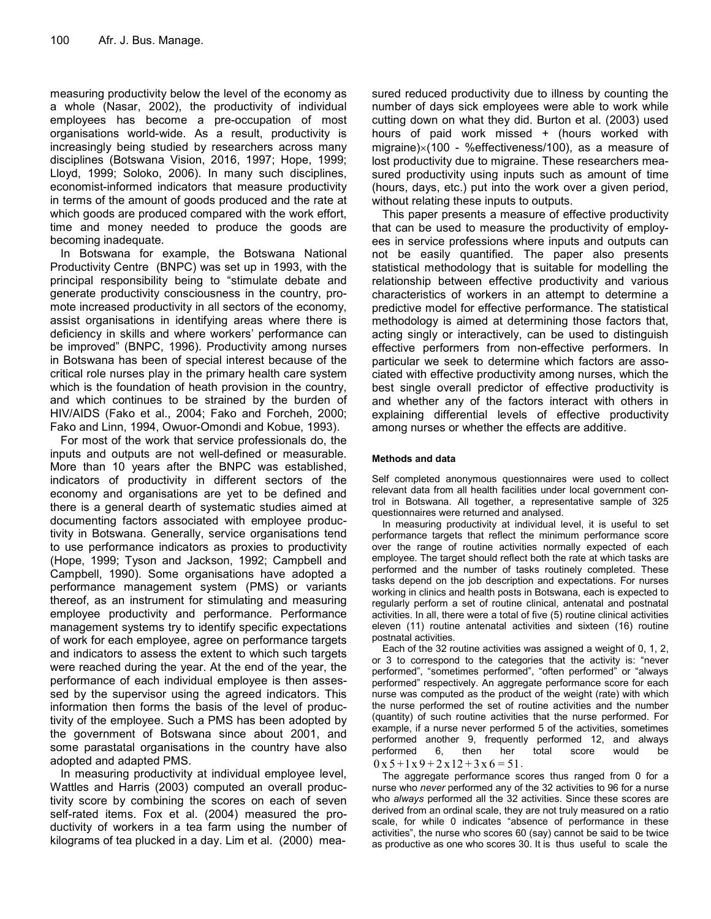measuring productivity below the level of the economy as a whole (Nasar, 2002), the productivity of individual employees has become a pre-occupation of most organisations world-wide. As a result, productivity is increasingly being studied by researchers across many disciplines (Botswana Vision, 2016, 1997; Hope, 1999; Lloyd, 1999; Soloko, 2006). In many such disciplines, economist-informed indicators that measure productivity in terms of the amount of goods produced and the rate at which goods are produced compared with the work effort, time and money needed to produce the goods are becoming inadequate.

In Botswana for example, the Botswana National Productivity Centre (BNPC) was set up in 1993, with the principal responsibility being to "stimulate debate and generate productivity consciousness in the country, promote increased productivity in all sectors of the economy, assist organisations in identifying areas where there is deficiency in skills and where workers' performance can be improved" (BNPC, 1996). Productivity among nurses in Botswana has been of special interest because of the critical role nurses play in the primary health care system which is the foundation of heath provision in the country, and which continues to be strained by the burden of HIV/AIDS (Fako et al., 2004; Fako and Forcheh, 2000; Fako and Linn, 1994, Owuor-Omondi and Kobue, 1993).

For most of the work that service professionals do, the inputs and outputs are not well-defined or measurable. More than 10 years after the BNPC was established, indicators of productivity in different sectors of the economy and organisations are yet to be defined and there is a general dearth of systematic studies aimed at documenting factors associated with employee productivity in Botswana. Generally, service organisations tend to use performance indicators as proxies to productivity (Hope, 1999; Tyson and Jackson, 1992; Campbell and Campbell, 1990). Some organisations have adopted a performance management system (PMS) or variants thereof, as an instrument for stimulating and measuring employee productivity and performance. Performance management systems try to identify specific expectations of work for each employee, agree on performance targets and indicators to assess the extent to which such targets were reached during the year. At the end of the year, the performance of each individual employee is then assessed by the supervisor using the agreed indicators. This information then forms the basis of the level of productivity of the employee. Such a PMS has been adopted by the government of Botswana since about 2001, and some parastatal organisations in the country have also adopted and adapted PMS.

In measuring productivity at individual employee level, Wattles and Harris (2003) computed an overall productivity score by combining the scores on each of seven self-rated items. Fox et al. (2004) measured the productivity of workers in a tea farm using the number of kilograms of tea plucked in a day. Lim et al. (2000) measured reduced productivity due to illness by counting the number of days sick employees were able to work while cutting down on what they did. Burton et al. (2003) used hours of paid work missed + (hours worked with migraine)×(100 - %effectiveness/100), as a measure of lost productivity due to migraine. These researchers measured productivity using inputs such as amount of time (hours, days, etc.) put into the work over a given period, without relating these inputs to outputs.

This paper presents a measure of effective productivity that can be used to measure the productivity of employees in service professions where inputs and outputs can not be easily quantified. The paper also presents statistical methodology that is suitable for modelling the relationship between effective productivity and various characteristics of workers in an attempt to determine a predictive model for effective performance. The statistical methodology is aimed at determining those factors that, acting singly or interactively, can be used to distinguish effective performers from non-effective performers. In particular we seek to determine which factors are associated with effective productivity among nurses, which the best single overall predictor of effective productivity is and whether any of the factors interact with others in explaining differential levels of effective productivity among nurses or whether the effects are additive.

## Methods and data

Self completed anonymous questionnaires were used to collect relevant data from all health facilities under local government control in Botswana. All together, a representative sample of 325 questionnaires were returned and analysed.

In measuring productivity at individual level, it is useful to set performance targets that reflect the minimum performance score over the range of routine activities normally expected of each employee. The target should reflect both the rate at which tasks are performed and the number of tasks routinely completed. These tasks depend on the job description and expectations. For nurses working in clinics and health posts in Botswana, each is expected to regularly perform a set of routine clinical, antenatal and postnatal activities. In all, there were a total of five (5) routine clinical activities eleven (11) routine antenatal activities and sixteen (16) routine postnatal activities.

Each of the 32 routine activities was assigned a weight of 0, 1, 2, or 3 to correspond to the categories that the activity is: "never performed", "sometimes performed", "often performed" or "always performed" respectively. An aggregate performance score for each nurse was computed as the product of the weight (rate) with which the nurse performed the set of routine activities and the number (quantity) of such routine activities that the nurse performed. For example, if a nurse never performed 5 of the activities, sometimes performed another 9, frequently performed 12, and always performed 6, then her total score would be performed 6, then her total score would be  $0 \times 5 + 1 \times 9 + 2 \times 12 + 3 \times 6 = 51$ .

The aggregate performance scores thus ranged from 0 for a nurse who never performed any of the 32 activities to 96 for a nurse who always performed all the 32 activities. Since these scores are derived from an ordinal scale, they are not truly measured on a ratio scale, for while 0 indicates "absence of performance in these activities", the nurse who scores 60 (say) cannot be said to be twice as productive as one who scores 30. It is thus useful to scale the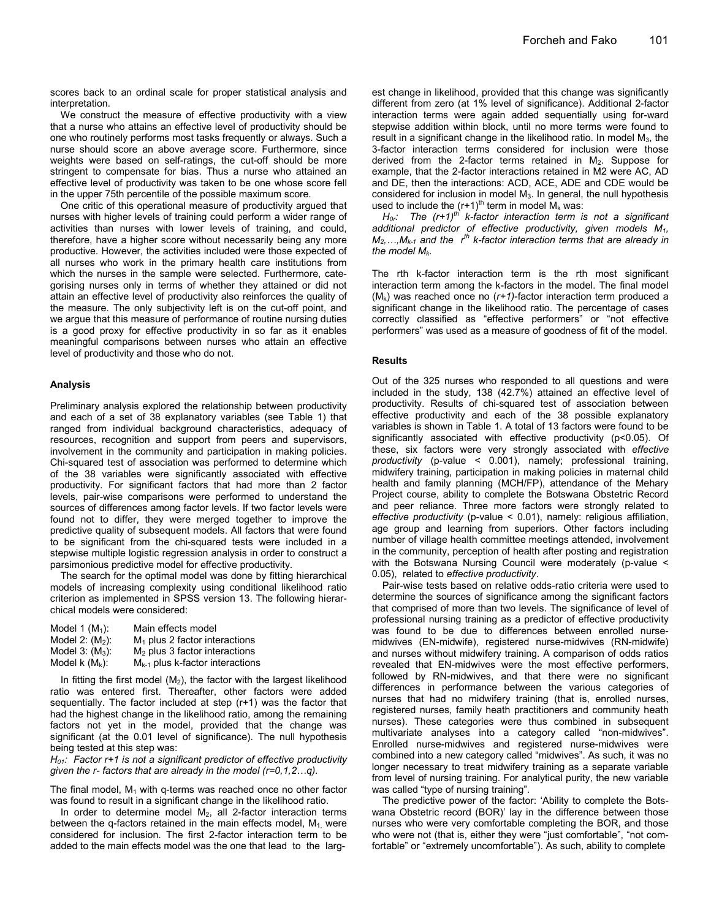scores back to an ordinal scale for proper statistical analysis and interpretation.

We construct the measure of effective productivity with a view that a nurse who attains an effective level of productivity should be one who routinely performs most tasks frequently or always. Such a nurse should score an above average score. Furthermore, since weights were based on self-ratings, the cut-off should be more stringent to compensate for bias. Thus a nurse who attained an effective level of productivity was taken to be one whose score fell in the upper 75th percentile of the possible maximum score.

One critic of this operational measure of productivity argued that nurses with higher levels of training could perform a wider range of activities than nurses with lower levels of training, and could, therefore, have a higher score without necessarily being any more productive. However, the activities included were those expected of all nurses who work in the primary health care institutions from which the nurses in the sample were selected. Furthermore, categorising nurses only in terms of whether they attained or did not attain an effective level of productivity also reinforces the quality of the measure. The only subjectivity left is on the cut-off point, and we argue that this measure of performance of routine nursing duties is a good proxy for effective productivity in so far as it enables meaningful comparisons between nurses who attain an effective level of productivity and those who do not.

#### Analysis

Preliminary analysis explored the relationship between productivity and each of a set of 38 explanatory variables (see Table 1) that ranged from individual background characteristics, adequacy of resources, recognition and support from peers and supervisors, involvement in the community and participation in making policies. Chi-squared test of association was performed to determine which of the 38 variables were significantly associated with effective productivity. For significant factors that had more than 2 factor levels, pair-wise comparisons were performed to understand the sources of differences among factor levels. If two factor levels were found not to differ, they were merged together to improve the predictive quality of subsequent models. All factors that were found to be significant from the chi-squared tests were included in a stepwise multiple logistic regression analysis in order to construct a parsimonious predictive model for effective productivity.

The search for the optimal model was done by fitting hierarchical models of increasing complexity using conditional likelihood ratio criterion as implemented in SPSS version 13. The following hierarchical models were considered:

| Model 1 $(M_1)$ :  | Main effects model                   |
|--------------------|--------------------------------------|
| Model 2: $(M_2)$ : | $M_1$ plus 2 factor interactions     |
| Model $3: (M_3)$   | $M2$ plus 3 factor interactions      |
| Model k $(M_k)$ :  | $M_{k-1}$ plus k-factor interactions |

In fitting the first model  $(M_2)$ , the factor with the largest likelihood ratio was entered first. Thereafter, other factors were added sequentially. The factor included at step (r+1) was the factor that had the highest change in the likelihood ratio, among the remaining factors not yet in the model, provided that the change was significant (at the 0.01 level of significance). The null hypothesis being tested at this step was:

 $H_{01}$ : Factor r+1 is not a significant predictor of effective productivity given the r- factors that are already in the model (r=0,1,2…q).

The final model,  $M_1$  with q-terms was reached once no other factor was found to result in a significant change in the likelihood ratio.

In order to determine model  $M<sub>2</sub>$ , all 2-factor interaction terms between the q-factors retained in the main effects model,  $M_1$ , were considered for inclusion. The first 2-factor interaction term to be added to the main effects model was the one that lead to the larg-

est change in likelihood, provided that this change was significantly different from zero (at 1% level of significance). Additional 2-factor interaction terms were again added sequentially using for-ward stepwise addition within block, until no more terms were found to result in a significant change in the likelihood ratio. In model  $M<sub>3</sub>$ , the 3-factor interaction terms considered for inclusion were those derived from the 2-factor terms retained in  $M_2$ . Suppose for example, that the 2-factor interactions retained in M2 were AC, AD and DE, then the interactions: ACD, ACE, ADE and CDE would be considered for inclusion in model  $M_3$ . In general, the null hypothesis used to include the  $(r+1)$ <sup>th</sup> term in model  $\bar{M}_k$  was:

 $H_{0r}$ : The (r+1)<sup>th</sup> k-factor interaction term is not a significant additional predictor of effective productivity, given models  $M_1$ ,  $M_2,...,M_{k-1}$  and the  $r^{th}$  k-factor interaction terms that are already in the model  $M_k$ .

The rth k-factor interaction term is the rth most significant interaction term among the k-factors in the model. The final model  $(M_k)$  was reached once no  $(r+1)$ -factor interaction term produced a significant change in the likelihood ratio. The percentage of cases correctly classified as "effective performers" or "not effective performers" was used as a measure of goodness of fit of the model.

#### Results

Out of the 325 nurses who responded to all questions and were included in the study, 138 (42.7%) attained an effective level of productivity. Results of chi-squared test of association between effective productivity and each of the 38 possible explanatory variables is shown in Table 1. A total of 13 factors were found to be significantly associated with effective productivity (p<0.05). Of these, six factors were very strongly associated with effective productivity (p-value < 0.001), namely; professional training, midwifery training, participation in making policies in maternal child health and family planning (MCH/FP), attendance of the Mehary Project course, ability to complete the Botswana Obstetric Record and peer reliance. Three more factors were strongly related to effective productivity (p-value < 0.01), namely: religious affiliation, age group and learning from superiors. Other factors including number of village health committee meetings attended, involvement in the community, perception of health after posting and registration with the Botswana Nursing Council were moderately (p-value < 0.05), related to effective productivity.

Pair-wise tests based on relative odds-ratio criteria were used to determine the sources of significance among the significant factors that comprised of more than two levels. The significance of level of professional nursing training as a predictor of effective productivity was found to be due to differences between enrolled nursemidwives (EN-midwife), registered nurse-midwives (RN-midwife) and nurses without midwifery training. A comparison of odds ratios revealed that EN-midwives were the most effective performers, followed by RN-midwives, and that there were no significant differences in performance between the various categories of nurses that had no midwifery training (that is, enrolled nurses, registered nurses, family heath practitioners and community heath nurses). These categories were thus combined in subsequent multivariate analyses into a category called "non-midwives". Enrolled nurse-midwives and registered nurse-midwives were combined into a new category called "midwives". As such, it was no longer necessary to treat midwifery training as a separate variable from level of nursing training. For analytical purity, the new variable was called "type of nursing training".

The predictive power of the factor: 'Ability to complete the Botswana Obstetric record (BOR)' lay in the difference between those nurses who were very comfortable completing the BOR, and those who were not (that is, either they were "just comfortable", "not comfortable" or "extremely uncomfortable"). As such, ability to complete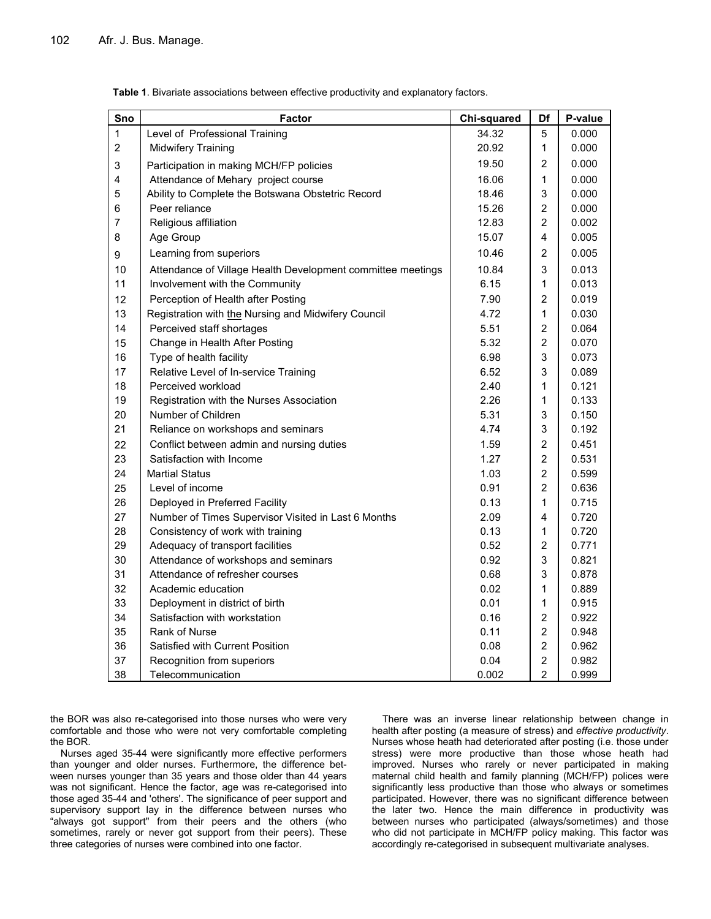| Sno            | <b>Factor</b>                                               | <b>Chi-squared</b> | Df             | P-value |
|----------------|-------------------------------------------------------------|--------------------|----------------|---------|
| 1              | Level of Professional Training                              | 34.32              | 5              | 0.000   |
| $\overline{2}$ | Midwifery Training                                          | 20.92              | 1              | 0.000   |
| 3              | Participation in making MCH/FP policies                     | 19.50              | 2              | 0.000   |
| 4              | Attendance of Mehary project course                         | 16.06              | 1              | 0.000   |
| 5              | Ability to Complete the Botswana Obstetric Record           | 18.46              | 3              | 0.000   |
| 6              | Peer reliance                                               | 15.26              | $\overline{c}$ | 0.000   |
| $\overline{7}$ | Religious affiliation                                       | 12.83              | $\overline{2}$ | 0.002   |
| 8              | Age Group                                                   | 15.07              | 4              | 0.005   |
| 9              | Learning from superiors                                     | 10.46              | 2              | 0.005   |
| 10             | Attendance of Village Health Development committee meetings | 10.84              | 3              | 0.013   |
| 11             | Involvement with the Community                              | 6.15               | 1              | 0.013   |
| 12             | Perception of Health after Posting                          | 7.90               | $\overline{2}$ | 0.019   |
| 13             | Registration with the Nursing and Midwifery Council         | 4.72               | 1              | 0.030   |
| 14             | Perceived staff shortages                                   | 5.51               | 2              | 0.064   |
| 15             | Change in Health After Posting                              | 5.32               | $\overline{c}$ | 0.070   |
| 16             | Type of health facility                                     | 6.98               | 3              | 0.073   |
| 17             | Relative Level of In-service Training                       | 6.52               | 3              | 0.089   |
| 18             | Perceived workload                                          | 2.40               | 1              | 0.121   |
| 19             | Registration with the Nurses Association                    | 2.26               | 1              | 0.133   |
| 20             | Number of Children                                          | 5.31               | 3              | 0.150   |
| 21             | Reliance on workshops and seminars                          | 4.74               | 3              | 0.192   |
| 22             | Conflict between admin and nursing duties                   | 1.59               | $\overline{c}$ | 0.451   |
| 23             | Satisfaction with Income                                    | 1.27               | $\overline{c}$ | 0.531   |
| 24             | <b>Martial Status</b>                                       | 1.03               | $\overline{2}$ | 0.599   |
| 25             | Level of income                                             | 0.91               | $\overline{2}$ | 0.636   |
| 26             | Deployed in Preferred Facility                              | 0.13               | 1              | 0.715   |
| 27             | Number of Times Supervisor Visited in Last 6 Months         | 2.09               | 4              | 0.720   |
| 28             | Consistency of work with training                           | 0.13               | 1              | 0.720   |
| 29             | Adequacy of transport facilities                            | 0.52               | $\overline{2}$ | 0.771   |
| 30             | Attendance of workshops and seminars                        | 0.92               | 3              | 0.821   |
| 31             | Attendance of refresher courses                             | 0.68               | 3              | 0.878   |
| 32             | Academic education                                          | 0.02               | 1              | 0.889   |
| 33             | Deployment in district of birth                             | 0.01               | 1              | 0.915   |
| 34             | Satisfaction with workstation                               | 0.16               | $\overline{c}$ | 0.922   |
| 35             | <b>Rank of Nurse</b>                                        | 0.11               | $\overline{c}$ | 0.948   |
| 36             | Satisfied with Current Position                             | 0.08               | $\overline{2}$ | 0.962   |
| 37             | Recognition from superiors                                  | 0.04               | $\overline{2}$ | 0.982   |
| 38             | Telecommunication                                           | 0.002              | $\overline{2}$ | 0.999   |

Table 1. Bivariate associations between effective productivity and explanatory factors.

the BOR was also re-categorised into those nurses who were very comfortable and those who were not very comfortable completing the BOR.

Nurses aged 35-44 were significantly more effective performers than younger and older nurses. Furthermore, the difference between nurses younger than 35 years and those older than 44 years was not significant. Hence the factor, age was re-categorised into those aged 35-44 and 'others'. The significance of peer support and supervisory support lay in the difference between nurses who "always got support" from their peers and the others (who sometimes, rarely or never got support from their peers). These three categories of nurses were combined into one factor.

There was an inverse linear relationship between change in health after posting (a measure of stress) and effective productivity. Nurses whose heath had deteriorated after posting (i.e. those under stress) were more productive than those whose heath had improved. Nurses who rarely or never participated in making maternal child health and family planning (MCH/FP) polices were significantly less productive than those who always or sometimes participated. However, there was no significant difference between the later two. Hence the main difference in productivity was between nurses who participated (always/sometimes) and those who did not participate in MCH/FP policy making. This factor was accordingly re-categorised in subsequent multivariate analyses.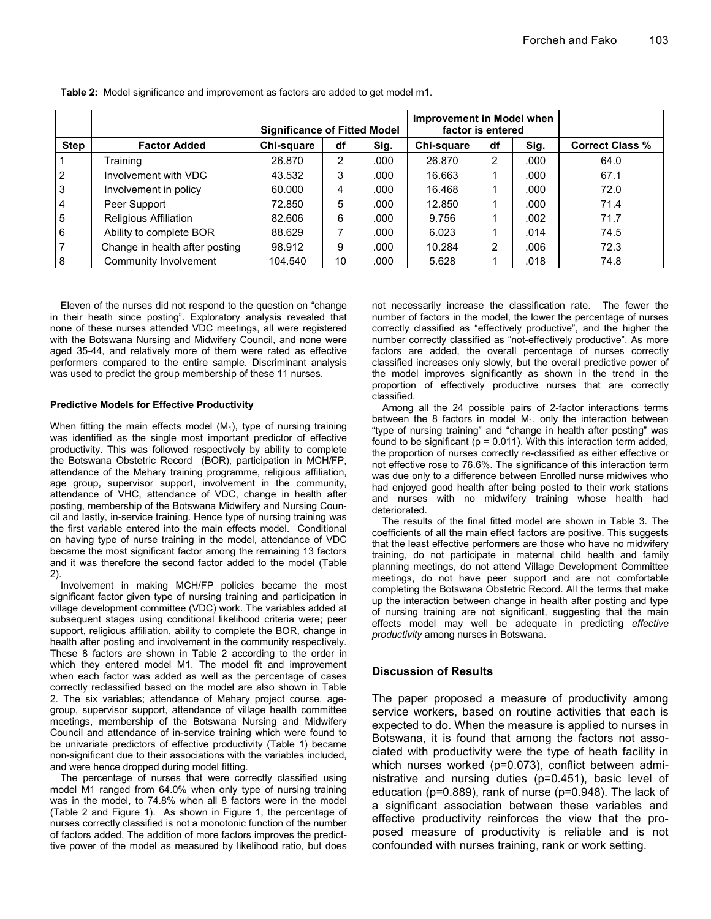|                 |                                | <b>Significance of Fitted Model</b> |    |       | Improvement in Model when<br>factor is entered |                |      |                        |
|-----------------|--------------------------------|-------------------------------------|----|-------|------------------------------------------------|----------------|------|------------------------|
| <b>Step</b>     | <b>Factor Added</b>            | Chi-square                          | df | Sig.  | Chi-square                                     | df             | Sig. | <b>Correct Class %</b> |
| 1               | Training                       | 26.870                              | 2  | .000  | 26.870                                         | $\overline{2}$ | .000 | 64.0                   |
| $\overline{2}$  | Involvement with VDC           | 43.532                              | 3  | .000  | 16.663                                         |                | .000 | 67.1                   |
| <sup>3</sup>    | Involvement in policy          | 60.000                              | 4  | .000  | 16.468                                         |                | .000 | 72.0                   |
| $\overline{4}$  | Peer Support                   | 72.850                              | 5  | .000. | 12.850                                         |                | .000 | 71.4                   |
| $5\phantom{.0}$ | Religious Affiliation          | 82.606                              | 6  | .000. | 9.756                                          |                | .002 | 71.7                   |
| 6               | Ability to complete BOR        | 88.629                              |    | .000  | 6.023                                          |                | .014 | 74.5                   |
| $\overline{7}$  | Change in health after posting | 98.912                              | 9  | .000. | 10.284                                         | 2              | .006 | 72.3                   |
| 8               | Community Involvement          | 104.540                             | 10 | .000  | 5.628                                          |                | .018 | 74.8                   |

Table 2: Model significance and improvement as factors are added to get model m1.

Eleven of the nurses did not respond to the question on "change in their heath since posting". Exploratory analysis revealed that none of these nurses attended VDC meetings, all were registered with the Botswana Nursing and Midwifery Council, and none were aged 35-44, and relatively more of them were rated as effective performers compared to the entire sample. Discriminant analysis was used to predict the group membership of these 11 nurses.

## Predictive Models for Effective Productivity

When fitting the main effects model  $(M_1)$ , type of nursing training was identified as the single most important predictor of effective productivity. This was followed respectively by ability to complete the Botswana Obstetric Record (BOR), participation in MCH/FP, attendance of the Mehary training programme, religious affiliation, age group, supervisor support, involvement in the community, attendance of VHC, attendance of VDC, change in health after posting, membership of the Botswana Midwifery and Nursing Council and lastly, in-service training. Hence type of nursing training was the first variable entered into the main effects model. Conditional on having type of nurse training in the model, attendance of VDC became the most significant factor among the remaining 13 factors and it was therefore the second factor added to the model (Table 2).

Involvement in making MCH/FP policies became the most significant factor given type of nursing training and participation in village development committee (VDC) work. The variables added at subsequent stages using conditional likelihood criteria were; peer support, religious affiliation, ability to complete the BOR, change in health after posting and involvement in the community respectively. These 8 factors are shown in Table 2 according to the order in which they entered model M1. The model fit and improvement when each factor was added as well as the percentage of cases correctly reclassified based on the model are also shown in Table 2. The six variables; attendance of Mehary project course, agegroup, supervisor support, attendance of village health committee meetings, membership of the Botswana Nursing and Midwifery Council and attendance of in-service training which were found to be univariate predictors of effective productivity (Table 1) became non-significant due to their associations with the variables included, and were hence dropped during model fitting.

The percentage of nurses that were correctly classified using model M1 ranged from 64.0% when only type of nursing training was in the model, to 74.8% when all 8 factors were in the model (Table 2 and Figure 1). As shown in Figure 1, the percentage of nurses correctly classified is not a monotonic function of the number of factors added. The addition of more factors improves the predicttive power of the model as measured by likelihood ratio, but does

not necessarily increase the classification rate. The fewer the number of factors in the model, the lower the percentage of nurses correctly classified as "effectively productive", and the higher the number correctly classified as "not-effectively productive". As more factors are added, the overall percentage of nurses correctly classified increases only slowly, but the overall predictive power of the model improves significantly as shown in the trend in the proportion of effectively productive nurses that are correctly classified.

Among all the 24 possible pairs of 2-factor interactions terms between the 8 factors in model  $M_1$ , only the interaction between "type of nursing training" and "change in health after posting" was found to be significant ( $p = 0.011$ ). With this interaction term added, the proportion of nurses correctly re-classified as either effective or not effective rose to 76.6%. The significance of this interaction term was due only to a difference between Enrolled nurse midwives who had enjoyed good health after being posted to their work stations and nurses with no midwifery training whose health had deteriorated.

The results of the final fitted model are shown in Table 3. The coefficients of all the main effect factors are positive. This suggests that the least effective performers are those who have no midwifery training, do not participate in maternal child health and family planning meetings, do not attend Village Development Committee meetings, do not have peer support and are not comfortable completing the Botswana Obstetric Record. All the terms that make up the interaction between change in health after posting and type of nursing training are not significant, suggesting that the main effects model may well be adequate in predicting effective productivity among nurses in Botswana.

## Discussion of Results

The paper proposed a measure of productivity among service workers, based on routine activities that each is expected to do. When the measure is applied to nurses in Botswana, it is found that among the factors not associated with productivity were the type of heath facility in which nurses worked (p=0.073), conflict between administrative and nursing duties (p=0.451), basic level of education (p=0.889), rank of nurse (p=0.948). The lack of a significant association between these variables and effective productivity reinforces the view that the proposed measure of productivity is reliable and is not confounded with nurses training, rank or work setting.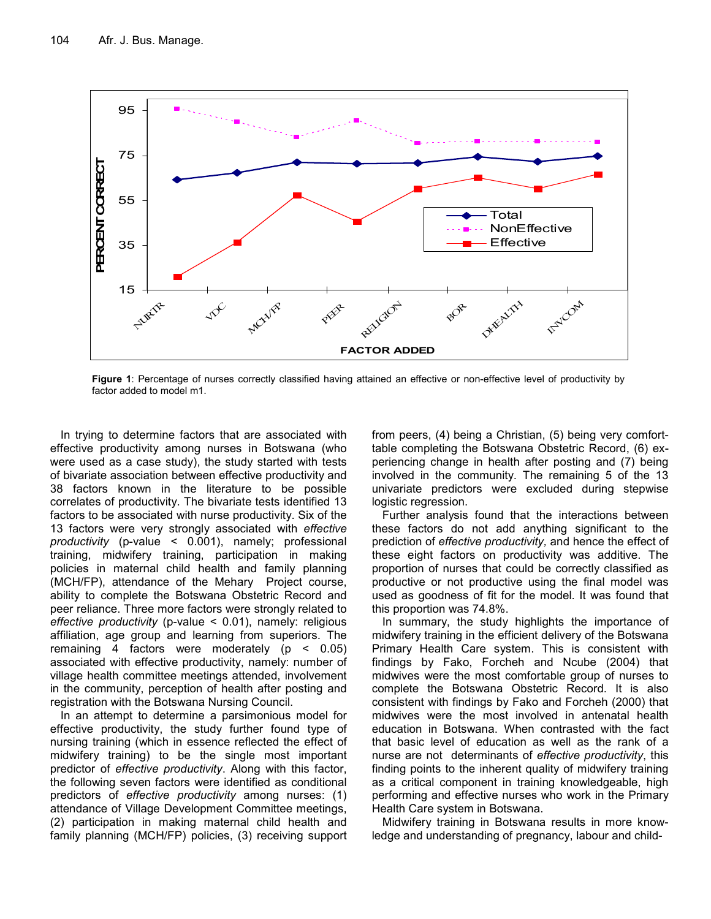

Figure 1: Percentage of nurses correctly classified having attained an effective or non-effective level of productivity by factor added to model m1.

In trying to determine factors that are associated with effective productivity among nurses in Botswana (who were used as a case study), the study started with tests of bivariate association between effective productivity and 38 factors known in the literature to be possible correlates of productivity. The bivariate tests identified 13 factors to be associated with nurse productivity. Six of the 13 factors were very strongly associated with effective productivity (p-value < 0.001), namely; professional training, midwifery training, participation in making policies in maternal child health and family planning (MCH/FP), attendance of the Mehary Project course, ability to complete the Botswana Obstetric Record and peer reliance. Three more factors were strongly related to effective productivity (p-value < 0.01), namely: religious affiliation, age group and learning from superiors. The remaining 4 factors were moderately (p < 0.05) associated with effective productivity, namely: number of village health committee meetings attended, involvement in the community, perception of health after posting and registration with the Botswana Nursing Council.

In an attempt to determine a parsimonious model for effective productivity, the study further found type of nursing training (which in essence reflected the effect of midwifery training) to be the single most important predictor of effective productivity. Along with this factor, the following seven factors were identified as conditional predictors of effective productivity among nurses: (1) attendance of Village Development Committee meetings, (2) participation in making maternal child health and family planning (MCH/FP) policies, (3) receiving support

from peers, (4) being a Christian, (5) being very comforttable completing the Botswana Obstetric Record, (6) experiencing change in health after posting and (7) being involved in the community. The remaining 5 of the 13 univariate predictors were excluded during stepwise logistic regression.

Further analysis found that the interactions between these factors do not add anything significant to the prediction of effective productivity, and hence the effect of these eight factors on productivity was additive. The proportion of nurses that could be correctly classified as productive or not productive using the final model was used as goodness of fit for the model. It was found that this proportion was 74.8%.

In summary, the study highlights the importance of midwifery training in the efficient delivery of the Botswana Primary Health Care system. This is consistent with findings by Fako, Forcheh and Ncube (2004) that midwives were the most comfortable group of nurses to complete the Botswana Obstetric Record. It is also consistent with findings by Fako and Forcheh (2000) that midwives were the most involved in antenatal health education in Botswana. When contrasted with the fact that basic level of education as well as the rank of a nurse are not determinants of effective productivity, this finding points to the inherent quality of midwifery training as a critical component in training knowledgeable, high performing and effective nurses who work in the Primary Health Care system in Botswana.

Midwifery training in Botswana results in more knowledge and understanding of pregnancy, labour and child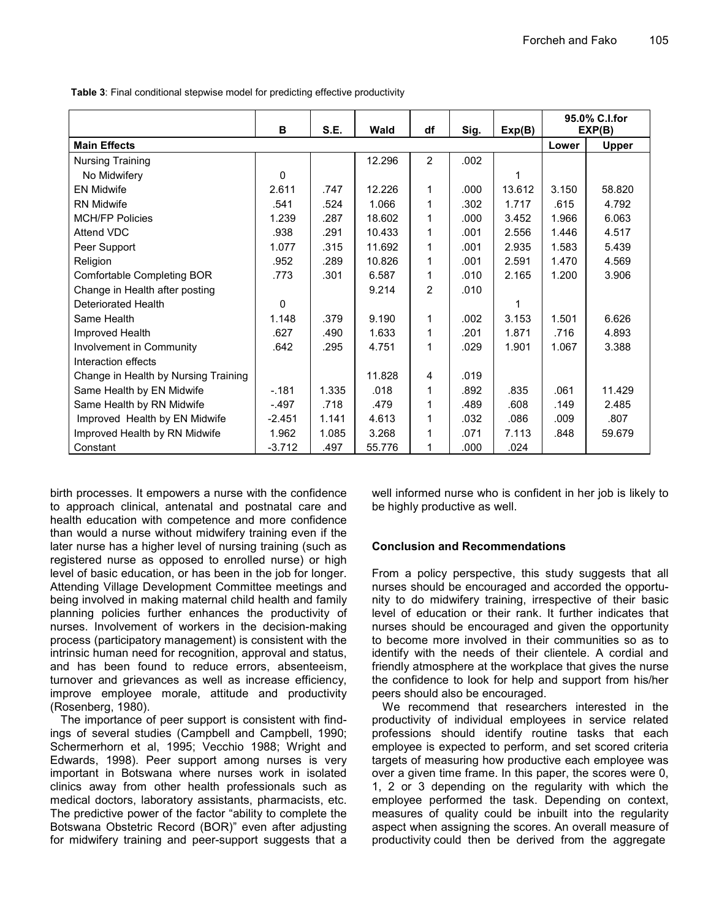Table 3: Final conditional stepwise model for predicting effective productivity

|                                      | B        | S.E.  | Wald   | df             | Sig. | Exp(B) | 95.0% C.I.for<br>EXP(B) |              |
|--------------------------------------|----------|-------|--------|----------------|------|--------|-------------------------|--------------|
| <b>Main Effects</b>                  |          |       |        |                |      |        | Lower                   | <b>Upper</b> |
| <b>Nursing Training</b>              |          |       | 12.296 | $\overline{2}$ | .002 |        |                         |              |
| No Midwifery                         | 0        |       |        |                |      | 1      |                         |              |
| <b>EN Midwife</b>                    | 2.611    | .747  | 12.226 | 1              | .000 | 13.612 | 3.150                   | 58.820       |
| <b>RN Midwife</b>                    | .541     | .524  | 1.066  | 1              | .302 | 1.717  | .615                    | 4.792        |
| <b>MCH/FP Policies</b>               | 1.239    | .287  | 18.602 | 1              | .000 | 3.452  | 1.966                   | 6.063        |
| Attend VDC                           | .938     | .291  | 10.433 | 1              | .001 | 2.556  | 1.446                   | 4.517        |
| Peer Support                         | 1.077    | .315  | 11.692 | 1              | .001 | 2.935  | 1.583                   | 5.439        |
| Religion                             | .952     | .289  | 10.826 | 1              | .001 | 2.591  | 1.470                   | 4.569        |
| Comfortable Completing BOR           | .773     | .301  | 6.587  | 1              | .010 | 2.165  | 1.200                   | 3.906        |
| Change in Health after posting       |          |       | 9.214  | 2              | .010 |        |                         |              |
| Deteriorated Health                  | 0        |       |        |                |      | 1      |                         |              |
| Same Health                          | 1.148    | .379  | 9.190  | 1              | .002 | 3.153  | 1.501                   | 6.626        |
| Improved Health                      | .627     | .490  | 1.633  | 1              | .201 | 1.871  | .716                    | 4.893        |
| Involvement in Community             | .642     | .295  | 4.751  | 1              | .029 | 1.901  | 1.067                   | 3.388        |
| Interaction effects                  |          |       |        |                |      |        |                         |              |
| Change in Health by Nursing Training |          |       | 11.828 | 4              | .019 |        |                         |              |
| Same Health by EN Midwife            | $-181$   | 1.335 | .018   | 1              | .892 | .835   | .061                    | 11.429       |
| Same Health by RN Midwife            | $-.497$  | .718  | .479   | 1              | .489 | .608   | .149                    | 2.485        |
| Improved Health by EN Midwife        | $-2.451$ | 1.141 | 4.613  | 1              | .032 | .086   | .009                    | .807         |
| Improved Health by RN Midwife        | 1.962    | 1.085 | 3.268  | 1              | .071 | 7.113  | .848                    | 59.679       |
| Constant                             | $-3.712$ | .497  | 55.776 | 1              | .000 | .024   |                         |              |

birth processes. It empowers a nurse with the confidence to approach clinical, antenatal and postnatal care and health education with competence and more confidence than would a nurse without midwifery training even if the later nurse has a higher level of nursing training (such as registered nurse as opposed to enrolled nurse) or high level of basic education, or has been in the job for longer. Attending Village Development Committee meetings and being involved in making maternal child health and family planning policies further enhances the productivity of nurses. Involvement of workers in the decision-making process (participatory management) is consistent with the intrinsic human need for recognition, approval and status, and has been found to reduce errors, absenteeism, turnover and grievances as well as increase efficiency, improve employee morale, attitude and productivity (Rosenberg, 1980).

The importance of peer support is consistent with findings of several studies (Campbell and Campbell, 1990; Schermerhorn et al, 1995; Vecchio 1988; Wright and Edwards, 1998). Peer support among nurses is very important in Botswana where nurses work in isolated clinics away from other health professionals such as medical doctors, laboratory assistants, pharmacists, etc. The predictive power of the factor "ability to complete the Botswana Obstetric Record (BOR)" even after adjusting for midwifery training and peer-support suggests that a well informed nurse who is confident in her job is likely to be highly productive as well.

# Conclusion and Recommendations

From a policy perspective, this study suggests that all nurses should be encouraged and accorded the opportunity to do midwifery training, irrespective of their basic level of education or their rank. It further indicates that nurses should be encouraged and given the opportunity to become more involved in their communities so as to identify with the needs of their clientele. A cordial and friendly atmosphere at the workplace that gives the nurse the confidence to look for help and support from his/her peers should also be encouraged.

We recommend that researchers interested in the productivity of individual employees in service related professions should identify routine tasks that each employee is expected to perform, and set scored criteria targets of measuring how productive each employee was over a given time frame. In this paper, the scores were 0, 1, 2 or 3 depending on the regularity with which the employee performed the task. Depending on context, measures of quality could be inbuilt into the regularity aspect when assigning the scores. An overall measure of productivity could then be derived from the aggregate